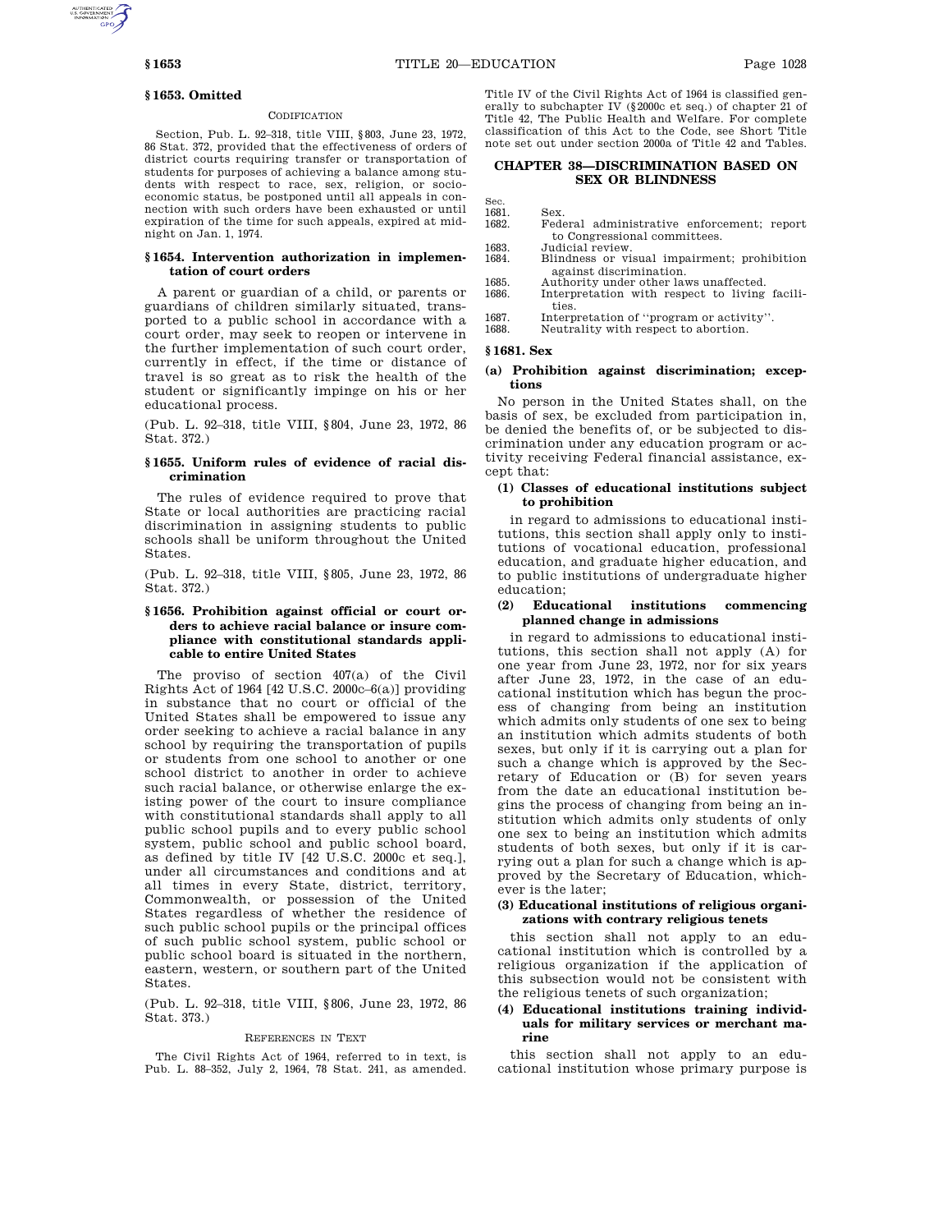#### **§ 1653. Omitted**

#### **CODIFICATION**

Section, Pub. L. 92–318, title VIII, §803, June 23, 1972, 86 Stat. 372, provided that the effectiveness of orders of district courts requiring transfer or transportation of students for purposes of achieving a balance among students with respect to race, sex, religion, or socioeconomic status, be postponed until all appeals in connection with such orders have been exhausted or until expiration of the time for such appeals, expired at midnight on Jan. 1, 1974.

#### **§ 1654. Intervention authorization in implementation of court orders**

A parent or guardian of a child, or parents or guardians of children similarly situated, transported to a public school in accordance with a court order, may seek to reopen or intervene in the further implementation of such court order, currently in effect, if the time or distance of travel is so great as to risk the health of the student or significantly impinge on his or her educational process.

(Pub. L. 92–318, title VIII, §804, June 23, 1972, 86 Stat. 372.)

## **§ 1655. Uniform rules of evidence of racial discrimination**

The rules of evidence required to prove that State or local authorities are practicing racial discrimination in assigning students to public schools shall be uniform throughout the United States.

(Pub. L. 92–318, title VIII, §805, June 23, 1972, 86 Stat. 372.)

## **§ 1656. Prohibition against official or court orders to achieve racial balance or insure compliance with constitutional standards applicable to entire United States**

The proviso of section 407(a) of the Civil Rights Act of 1964 [42 U.S.C. 2000c–6(a)] providing in substance that no court or official of the United States shall be empowered to issue any order seeking to achieve a racial balance in any school by requiring the transportation of pupils or students from one school to another or one school district to another in order to achieve such racial balance, or otherwise enlarge the existing power of the court to insure compliance with constitutional standards shall apply to all public school pupils and to every public school system, public school and public school board, as defined by title IV [42 U.S.C. 2000c et seq.], under all circumstances and conditions and at all times in every State, district, territory, Commonwealth, or possession of the United States regardless of whether the residence of such public school pupils or the principal offices of such public school system, public school or public school board is situated in the northern, eastern, western, or southern part of the United States.

(Pub. L. 92–318, title VIII, §806, June 23, 1972, 86 Stat. 373.)

#### REFERENCES IN TEXT

The Civil Rights Act of 1964, referred to in text, is Pub. L. 88–352, July 2, 1964, 78 Stat. 241, as amended. Title IV of the Civil Rights Act of 1964 is classified generally to subchapter IV (§2000c et seq.) of chapter 21 of Title 42, The Public Health and Welfare. For complete classification of this Act to the Code, see Short Title note set out under section 2000a of Title 42 and Tables.

# **CHAPTER 38—DISCRIMINATION BASED ON SEX OR BLINDNESS**

 $1691$ 1681. Sex.<br>1682. Fede

- Federal administrative enforcement; report to Congressional committees.
- 1683. Judicial review.<br>1684. Blindness or vi 1684. Blindness or visual impairment; prohibition
- against discrimination.
- 1685. Authority under other laws unaffected.<br>1686 **Interpretation** with respect to living
- Interpretation with respect to living facilities.
- 1687. Interpretation of "program or activity".<br>1688. Neutrality with respect to abortion.
- Neutrality with respect to abortion.

# **§ 1681. Sex**

## **(a) Prohibition against discrimination; exceptions**

No person in the United States shall, on the basis of sex, be excluded from participation in, be denied the benefits of, or be subjected to discrimination under any education program or activity receiving Federal financial assistance, except that:

## **(1) Classes of educational institutions subject to prohibition**

in regard to admissions to educational institutions, this section shall apply only to institutions of vocational education, professional education, and graduate higher education, and to public institutions of undergraduate higher education;

#### **(2) Educational institutions commencing planned change in admissions**

in regard to admissions to educational institutions, this section shall not apply (A) for one year from June 23, 1972, nor for six years after June 23, 1972, in the case of an educational institution which has begun the process of changing from being an institution which admits only students of one sex to being an institution which admits students of both sexes, but only if it is carrying out a plan for such a change which is approved by the Secretary of Education or (B) for seven years from the date an educational institution begins the process of changing from being an institution which admits only students of only one sex to being an institution which admits students of both sexes, but only if it is carrying out a plan for such a change which is approved by the Secretary of Education, whichever is the later;

### **(3) Educational institutions of religious organizations with contrary religious tenets**

this section shall not apply to an educational institution which is controlled by a religious organization if the application of this subsection would not be consistent with the religious tenets of such organization;

# **(4) Educational institutions training individuals for military services or merchant marine**

this section shall not apply to an educational institution whose primary purpose is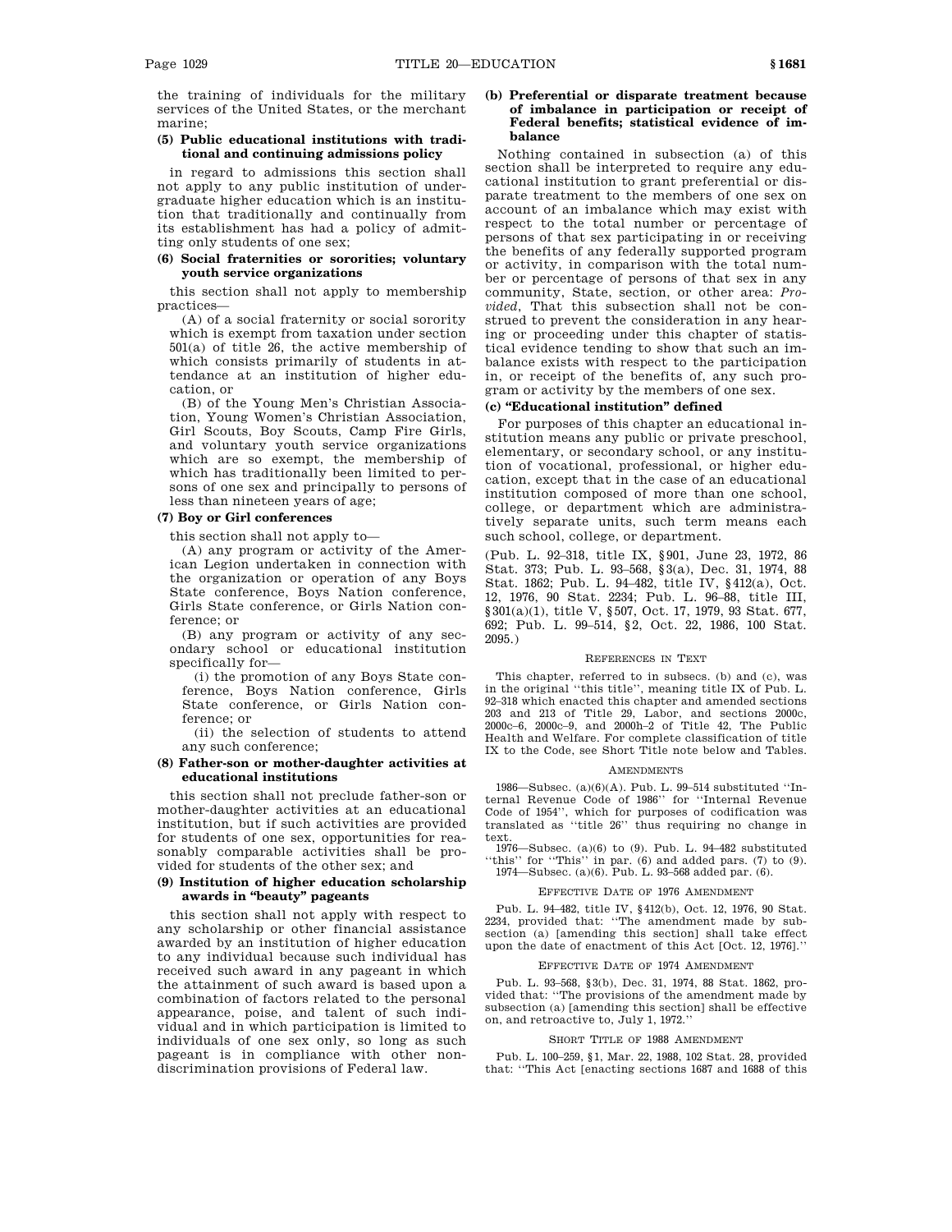the training of individuals for the military services of the United States, or the merchant marine;

## **(5) Public educational institutions with traditional and continuing admissions policy**

in regard to admissions this section shall not apply to any public institution of undergraduate higher education which is an institution that traditionally and continually from its establishment has had a policy of admitting only students of one sex;

# **(6) Social fraternities or sororities; voluntary youth service organizations**

this section shall not apply to membership practices—

(A) of a social fraternity or social sorority which is exempt from taxation under section 501(a) of title 26, the active membership of which consists primarily of students in attendance at an institution of higher education, or

(B) of the Young Men's Christian Association, Young Women's Christian Association, Girl Scouts, Boy Scouts, Camp Fire Girls, and voluntary youth service organizations which are so exempt, the membership of which has traditionally been limited to persons of one sex and principally to persons of less than nineteen years of age;

# **(7) Boy or Girl conferences**

this section shall not apply to—

(A) any program or activity of the American Legion undertaken in connection with the organization or operation of any Boys State conference, Boys Nation conference, Girls State conference, or Girls Nation conference; or

(B) any program or activity of any secondary school or educational institution specifically for—

(i) the promotion of any Boys State conference, Boys Nation conference, Girls State conference, or Girls Nation conference; or

(ii) the selection of students to attend any such conference;

# **(8) Father-son or mother-daughter activities at educational institutions**

this section shall not preclude father-son or mother-daughter activities at an educational institution, but if such activities are provided for students of one sex, opportunities for reasonably comparable activities shall be provided for students of the other sex; and

# **(9) Institution of higher education scholarship awards in ''beauty'' pageants**

this section shall not apply with respect to any scholarship or other financial assistance awarded by an institution of higher education to any individual because such individual has received such award in any pageant in which the attainment of such award is based upon a combination of factors related to the personal appearance, poise, and talent of such individual and in which participation is limited to individuals of one sex only, so long as such pageant is in compliance with other nondiscrimination provisions of Federal law.

# **(b) Preferential or disparate treatment because of imbalance in participation or receipt of Federal benefits; statistical evidence of imbalance**

Nothing contained in subsection (a) of this section shall be interpreted to require any educational institution to grant preferential or disparate treatment to the members of one sex on account of an imbalance which may exist with respect to the total number or percentage of persons of that sex participating in or receiving the benefits of any federally supported program or activity, in comparison with the total number or percentage of persons of that sex in any community, State, section, or other area: *Provided*, That this subsection shall not be construed to prevent the consideration in any hearing or proceeding under this chapter of statistical evidence tending to show that such an imbalance exists with respect to the participation in, or receipt of the benefits of, any such program or activity by the members of one sex.

#### **(c) ''Educational institution'' defined**

For purposes of this chapter an educational institution means any public or private preschool, elementary, or secondary school, or any institution of vocational, professional, or higher education, except that in the case of an educational institution composed of more than one school, college, or department which are administratively separate units, such term means each such school, college, or department.

(Pub. L. 92–318, title IX, §901, June 23, 1972, 86 Stat. 373; Pub. L. 93–568, §3(a), Dec. 31, 1974, 88 Stat. 1862; Pub. L. 94–482, title IV, §412(a), Oct. 12, 1976, 90 Stat. 2234; Pub. L. 96–88, title III, §301(a)(1), title V, §507, Oct. 17, 1979, 93 Stat. 677, 692; Pub. L. 99–514, §2, Oct. 22, 1986, 100 Stat. 2095.)

#### REFERENCES IN TEXT

This chapter, referred to in subsecs. (b) and (c), was in the original ''this title'', meaning title IX of Pub. L. 92–318 which enacted this chapter and amended sections 203 and 213 of Title 29, Labor, and sections 2000c, 2000c–6, 2000c–9, and 2000h–2 of Title 42, The Public Health and Welfare. For complete classification of title IX to the Code, see Short Title note below and Tables.

#### AMENDMENTS

1986—Subsec. (a)(6)(A). Pub. L. 99–514 substituted ''Internal Revenue Code of 1986'' for ''Internal Revenue Code of 1954'', which for purposes of codification was translated as ''title 26'' thus requiring no change in text.

1976—Subsec. (a)(6) to (9). Pub. L. 94–482 substituted ''this'' for ''This'' in par. (6) and added pars. (7) to (9). 1974—Subsec. (a)(6). Pub. L. 93–568 added par. (6).

# EFFECTIVE DATE OF 1976 AMENDMENT

Pub. L. 94–482, title IV, §412(b), Oct. 12, 1976, 90 Stat. 2234, provided that: ''The amendment made by subsection (a) [amending this section] shall take effect upon the date of enactment of this Act [Oct. 12, 1976].''

### EFFECTIVE DATE OF 1974 AMENDMENT

Pub. L. 93–568, §3(b), Dec. 31, 1974, 88 Stat. 1862, provided that: ''The provisions of the amendment made by subsection (a) [amending this section] shall be effective on, and retroactive to, July 1, 1972.''

#### SHORT TITLE OF 1988 AMENDMENT

Pub. L. 100–259, §1, Mar. 22, 1988, 102 Stat. 28, provided that: ''This Act [enacting sections 1687 and 1688 of this